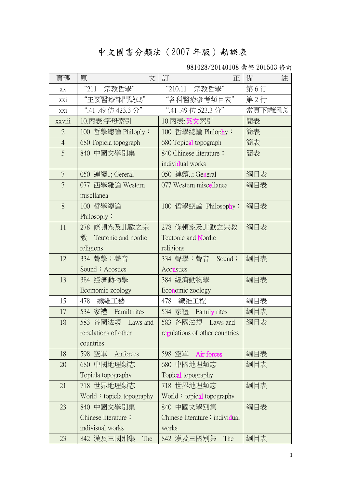## 中文圖書分類法(2007 年版)勘誤表

981028/20140108 彙整 201503 修訂

| 頁碼             | 文<br>原                          | 訂<br>正                         | 註<br>備 |
|----------------|---------------------------------|--------------------------------|--------|
| XX             | "211"<br>宗教哲學"                  | "210.11"<br>宗教哲學"              | 第6行    |
| xxi            | "主要醫療部門號碼"                      | "各科醫療參考類目表"                    | 第2行    |
| xxi            | ".41-.49 仿 423.3 分"             | ".41-.49 仿 523.3 分"            | 當頁下端網底 |
| xxviii         | 10.丙表:字母索引                      | 10.丙表:英文索引                     | 簡表     |
| $\overline{2}$ | 100 哲學總論 Philoply:              | 100 哲學總論 Philophy:             | 簡表     |
| $\overline{4}$ | 680 Topicla topograph           | 680 Topical topograph          | 簡表     |
| 5              | 840 中國文學別集                      | 840 Chinese literature:        | 簡表     |
|                |                                 | individual works               |        |
| $\overline{7}$ | 050 連續; Gereral                 | 050 連續; General                | 綱目表    |
| $\overline{7}$ | 077 西學雜論 Western                | 077 Western miscellanea        | 綱目表    |
|                | miscllanea                      |                                |        |
| 8              | 100 哲學總論                        | 100 哲學總論 Philosophy:           | 綱目表    |
|                | Philosoply:                     |                                |        |
| 11             | 278 條頓系及北歐之宗                    | 278 條頓系及北歐之宗教                  | 綱目表    |
|                | 教 Teutonic and nordic           | Teutonic and Nordic            |        |
|                | religions                       | religions                      |        |
| 12             | 334 聲學;聲音                       | 334 聲學;聲音 Sound;               | 綱目表    |
|                | Sound; Acostics                 | Acoustics                      |        |
| 13             | 384 經濟動物學                       | 384 經濟動物學                      | 綱目表    |
|                | Ecomomic zoology                | Economic zoology               |        |
| 15             | 纖維工藝<br>478                     | 478<br>纖維工程                    | 綱目表    |
| 17             | 534 家禮 Familt rites             | 534 家禮 Family rites            | 綱目表    |
| 18             | 583 各國法規 Laws and               | 583 各國法規 Laws and              | 綱目表    |
|                | repulations of other            | regulations of other countries |        |
|                | countries                       |                                |        |
| 18             | 598 空軍<br>Airforces             | 598 空軍 Air forces              | 綱目表    |
| 20             | 680 中國地理類志                      | 680 中國地理類志                     | 綱目表    |
|                | Topicla topography              | Topical topography             |        |
| 21             | 718 世界地理類志                      | 718 世界地理類志                     | 綱目表    |
|                | World $\div$ topicla topography | World: topical topography      |        |
| 23             | 840 中國文學別集                      | 840 中國文學別集                     | 綱目表    |
|                | Chinese literature:             | Chinese literature: individual |        |
|                | indivisual works                | works                          |        |
| 23             | 842 漢及三國別集<br>The               | 842 漢及三國別集<br>The              | 綱目表    |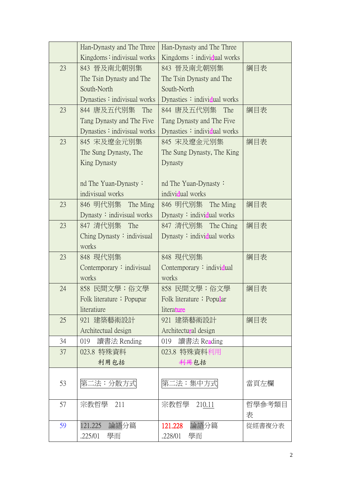|    | Han-Dynasty and The Three         | Han-Dynasty and The Three               |             |
|----|-----------------------------------|-----------------------------------------|-------------|
|    | Kingdoms: indivisual works        | Kingdoms: individual works              |             |
| 23 | 843 晉及南北朝別集                       | 843 晉及南北朝別集                             | 綱目表         |
|    | The Tsin Dynasty and The          | The Tsin Dynasty and The                |             |
|    | South-North                       | South-North                             |             |
|    | Dynasties: indivisual works       | Dynasties $\therefore$ individual works |             |
| 23 | 844 唐及五代別集<br>The                 | 844 唐及五代別集<br>The                       | 綱目表         |
|    | Tang Dynasty and The Five         | Tang Dynasty and The Five               |             |
|    | Dynasties $:$ indivisual works    | Dynasties $\therefore$ individual works |             |
| 23 | 845 宋及遼金元別集                       | 845 宋及遼金元別集                             | 綱目表         |
|    | The Sung Dynasty, The             | The Sung Dynasty, The King              |             |
|    | King Dynasty                      | Dynasty                                 |             |
|    |                                   |                                         |             |
|    | nd The Yuan-Dynasty:              | nd The Yuan-Dynasty:                    |             |
|    | indivisual works                  | individual works                        |             |
| 23 | 846 明代別集 The Ming                 | 846 明代別集 The Ming                       | 綱目表         |
|    | Dynasty $:$ indivisual works      | Dynasty $:$ individual works            |             |
| 23 | 847 清代別集<br>The                   | 847 清代別集 The Ching                      | 綱目表         |
|    | Ching Dynasty $\colon$ indivisual | Dynasty $:$ individual works            |             |
|    | works                             |                                         |             |
| 23 | 848 現代別集                          | 848 現代別集                                | 綱目表         |
|    | Contemporary: indivisual          | Contemporary: individual                |             |
|    | works                             | works                                   |             |
| 24 | 858 民間文學;俗文學                      | 858 民間文學;俗文學                            | 綱目表         |
|    | Folk literature ; Popupar         | Folk literature ; Popular               |             |
|    | literatiure                       | literature                              |             |
| 25 | 921 建築藝術設計                        | 921 建築藝術設計                              | 綱目表         |
|    | Architectual design               | Architectural design                    |             |
| 34 | 019<br>讀書法 Rending                | 019<br>讀書法 Reading                      |             |
| 37 | 023.8 特殊資料                        | 023.8 特殊資料利用                            |             |
|    | 利用包括                              | 科用包括                                    |             |
|    |                                   |                                         |             |
| 53 | 第二法:分散方式                          | 第二法:集中方式                                | 當頁左欄        |
|    |                                   |                                         |             |
| 57 | 宗教哲學 211                          | 宗教哲學 210.11                             | 哲學參考類目<br>表 |
| 59 | 論語分篇<br>121.225                   | 121.228<br>論語分篇                         |             |
|    | 學而                                | 學而                                      | 從經書複分表      |
|    | .225/01                           | .228/01                                 |             |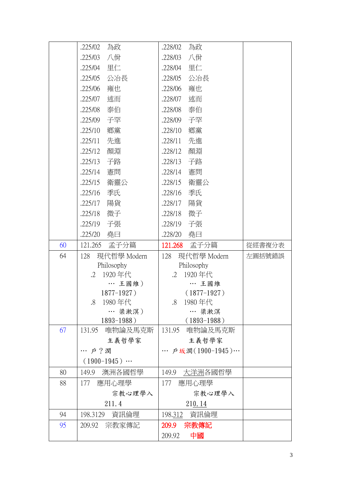|    | .225/02<br>為政             | .228/02<br>為政             |        |
|----|---------------------------|---------------------------|--------|
|    | 八佾<br>.225/03             | .228/03<br>八佾             |        |
|    | .225/04<br>里仁             | 里仁<br>.228/04             |        |
|    | .225/05<br>公冶長            | .228/05<br>公冶長            |        |
|    | .225/06<br>雍也             | .228/06<br>雍也             |        |
|    | 述而<br>.225/07             | 述而<br>.228/07             |        |
|    | .225/08<br>泰伯             | .228/08<br>泰伯             |        |
|    | 子罕<br>.225/09             | 子罕<br>.228/09             |        |
|    | .225/10<br>郷黨             | 鄉黨<br>.228/10             |        |
|    | 先進<br>.225/11             | 先進<br>.228/11             |        |
|    | .225/12<br>顏淵             | .228/12<br>顏淵             |        |
|    | .225/13<br>子路             | .228/13<br>子路             |        |
|    | .225/14<br>憲問             | .228/14<br>憲問             |        |
|    | .225/15<br>衛靈公            | .228/15<br>衛靈公            |        |
|    | .225/16<br>季氏             | .228/16<br>季氏             |        |
|    | 陽貨<br>.225/17             | 陽貨<br>.228/17             |        |
|    | .225/18<br>微子             | 微子<br>.228/18             |        |
|    | 子張<br>.225/19             | .228/19<br>子張             |        |
|    | .225/20<br>堯曰             | .228/20<br>堯曰             |        |
| 60 | 121.265<br>孟子分篇           | 121.268<br>孟子分篇           | 從經書複分表 |
|    |                           |                           |        |
| 64 | 現代哲學 Modern<br>128        | 現代哲學 Modern<br>128        | 左圓括號錯誤 |
|    | Philosophy                | Philosophy                |        |
|    | 1920年代<br>$\cdot$ 2       | 1920年代<br>$\cdot$ 2       |        |
|    | … 王國維)                    | … 王國維                     |        |
|    | $1877 - 1927$ )           | $(1877-1927)$             |        |
|    | 1980年代<br>.8.             | 1980年代<br>$.8\,$<br>… 梁漱溟 |        |
|    | … 梁漱溟)<br>$1893 - 1988$ ) | $(1893-1988)$             |        |
| 67 | 131.95<br>唯物論及馬克斯         | 131.95<br>唯物論及馬克斯         |        |
|    | 主義哲學家                     | 主義哲學家                     |        |
|    | … 户?潤                     | … 戶坂潤(1900-1945)…         |        |
|    | $(1900-1945)$             |                           |        |
| 80 | 149.9<br>澳洲各國哲學           | 149.9 大洋洲各國哲學             |        |
| 88 | 應用心理學<br>177              | 應用心理學<br>177              |        |
|    | 宗教心理學入                    | 宗教心理學入                    |        |
|    | 211.4                     | 210.14                    |        |
| 94 | 198.3129<br>資訊倫理          | 198.312 資訊倫理              |        |
| 95 | 209.92 宗教家傳記              | 209.9<br>宗教傳記             |        |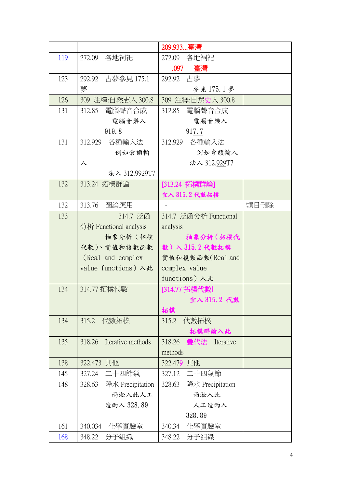|     |                             | 209.933…臺灣                 |      |
|-----|-----------------------------|----------------------------|------|
| 119 | 272.09<br>各地祠祀              | 272.09<br>各地祠祀             |      |
|     |                             | 臺灣<br>.097                 |      |
| 123 | 292.92 占夢參見 175.1           | 292.92 占夢                  |      |
|     | 夢                           | 參見175.1夢                   |      |
| 126 | 309 注釋:自然志入 300.8           | 309 注釋:自然史入 300.8          |      |
| 131 | 312.85 電腦聲音合成               | 312.85<br>電腦聲音合成           |      |
|     | 電腦音樂入                       | 電腦音樂入                      |      |
|     | 919.8                       | 917.7                      |      |
| 131 | 各種輸入法<br>312.929            | 312.929 各種輸入法              |      |
|     | 例如倉頡輸                       | 例如倉頡輸入                     |      |
|     | $\lambda$                   | 法入 312.929T7               |      |
|     | 法入 312.9929T7               |                            |      |
| 132 | 313.24 拓樸群論                 | [313.24 拓樸群論]              |      |
|     |                             | 宜入 315.2代數拓樸               |      |
| 132 | 313.76<br>圖論應用              |                            | 類目刪除 |
| 133 | 314.7 泛函                    | 314.7 泛函分析 Functional      |      |
|     | 分析 Functional analysis      | analysis                   |      |
|     | 抽象分析 (拓樸                    | 抽象分析 (拓樸代                  |      |
|     | 代數)、實值和複數函數                 | 數)入315.2代數拓樸               |      |
|     | (Real and complex           | 實值和複數函數(Real and           |      |
|     | value functions) 入此         | complex value              |      |
|     |                             | functions) 入此              |      |
| 134 | 314.77 拓樸代數                 | [314.77 拓樸代數]              |      |
|     |                             | 宜入 315.2 代數                |      |
|     |                             | 拓樸                         |      |
| 134 | 315.2<br>代數拓樸               | 代數拓樸<br>315.2              |      |
|     |                             | 拓樸群論入此                     |      |
| 135 | 318.26<br>Iterative methods | 318.26<br>疊代法 Iterative    |      |
|     |                             | methods                    |      |
| 138 | 322.473 其他                  | 322.479 其他                 |      |
| 145 | 二十四節氣<br>327.24             | 二十四氣節<br>327.12            |      |
| 148 | 降水 Precipitation<br>328.63  | 328.63<br>降水 Precipitation |      |
|     | 雨淞入此人工                      | 雨淞入此                       |      |
|     | 造雨入 328.89                  | 人工造雨入                      |      |
|     |                             | 328.89                     |      |
| 161 | 340.034<br>化學實驗室            | 340.34<br>化學實驗室            |      |
| 168 | 分子組織<br>348.22              | 分子組織<br>348.22             |      |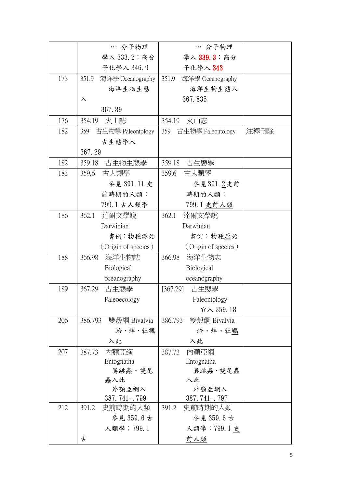|     | … 分子物理                    | … 分子物理                    |      |
|-----|---------------------------|---------------------------|------|
|     | 學入 333.2; 高分              | 學入 339.3; 高分              |      |
|     | 子化學入 346.9                | 子化學入 343                  |      |
| 173 | 351.9<br>海洋學 Oceanography | 351.9<br>海洋學 Oceanography |      |
|     | 海洋生物生態                    | 海洋生物生態入                   |      |
|     | $\lambda$                 | 367.835                   |      |
|     | 367.89                    |                           |      |
| 176 | 354.19 火山誌                | 354.19<br>火山志             |      |
| 182 | 359<br>古生物學 Paleontology  | 359 古生物學 Paleontology     | 注釋刪除 |
|     | 古生態學入                     |                           |      |
|     | 367.29                    |                           |      |
| 182 | 359.18 古生物生態學             | 359.18 古生態學               |      |
| 183 | 古人類學<br>359.6             | 359.6 古人類學                |      |
|     | 參見 391.11 史               | 參見391.2史前                 |      |
|     | 前時期的人類;                   | 時期的人類;                    |      |
|     | 799.1 古人類學                | 799.1 史前人類                |      |
| 186 | 達爾文學說<br>362.1            | 362.1<br>達爾文學說            |      |
|     | Darwinian                 | Darwinian                 |      |
|     | 書例:物種源始                   | 書例:物種原始                   |      |
|     | (Origin of species)       | (Origin of species)       |      |
| 188 | 海洋生物誌<br>366.98           | 366.98<br>海洋生物志           |      |
|     | Biological                | Biological                |      |
|     | oceanography              | oceanography              |      |
| 189 | 367.29<br>古生態學            | [367.29] 古生態學             |      |
|     | Paleoecology              | Paleontology              |      |
|     |                           | 宜入 359.18                 |      |
| 206 | 雙殼綱 Bivalvia<br>386.793   | 386.793<br>雙殼綱 Bivalvia   |      |
|     | 蛤、蚌、牡犡                    | 蛤、蚌、牡蠣                    |      |
|     | 入此                        | 入此                        |      |
| 207 | 內顎亞綱<br>387.73            | 內顎亞綱<br>387.73            |      |
|     | Entognatha                | Entognatha                |      |
|     | 異跳蟲、雙尾                    | 異跳蟲、雙尾蟲                   |      |
|     | 蟲入此                       | 入此                        |      |
|     | 外顎亞綱入<br>$387.741 - 799$  | 外顎亞綱入<br>$387.741 - 797$  |      |
| 212 | 391.2<br>史前時期的人類          | 391.2<br>史前時期的人類          |      |
|     | 參見 359.6 古                | 參見 359.6古                 |      |
|     | 人類學; 799.1                | 人類學; 799.1 史              |      |
|     | 古                         | <u> 前人類</u>               |      |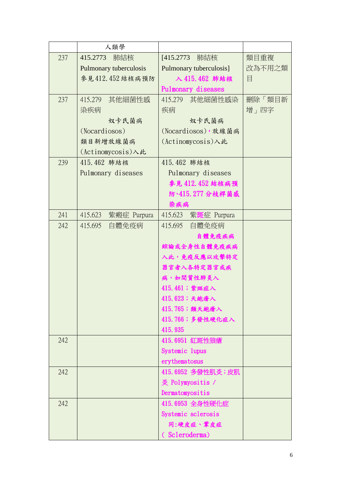|     | 人類學                    |                         |        |
|-----|------------------------|-------------------------|--------|
| 237 | 肺結核<br>415.2773        | [415.2773]<br>肺結核       | 類目重複   |
|     | Pulmonary tuberculosis | Pulmonary tuberculosis] | 改為不用之類 |
|     | 參見412.452結核病預防         | 入 415.462 肺結核           | 目      |
|     |                        | Pulmonary diseases      |        |
| 237 | 415.279<br>其他細菌性感      | 415.279<br>其他細菌性感染      | 刪除「類目新 |
|     | 染疾病                    | 疾病                      | 增」四字   |
|     | 奴卡氏菌病                  | 奴卡氏菌病                   |        |
|     | (Nocardiosos)          | (Nocardiosos), 放線菌病     |        |
|     | 類目新增放線菌病               | (Actinomycosis)入此       |        |
|     | (Actinomycosis)入此      |                         |        |
| 239 | 415.462 肺結核            | 415.462 肺結核             |        |
|     | Pulmonary diseases     | Pulmonary diseases      |        |
|     |                        | 参見 412.452 結核病預         |        |
|     |                        | 防、415.277分枝桿菌感          |        |
|     |                        | 染疾病                     |        |
| 241 | 415.623<br>紫瘢症 Purpura | 紫斑症 Purpura<br>415.623  |        |
| 242 | 自體免疫病<br>415.695       | 自體免疫病<br>415.695        |        |
|     |                        | 自體免疫疾病                  |        |
|     |                        | 綜論或全身性自體免疫疾病            |        |
|     |                        | 入此,免疫反應以攻擊特定            |        |
|     |                        | 器官者入各特定器官或疾             |        |
|     |                        | 病,如間質性肺炎入               |        |
|     |                        | 415.461;紫斑症入            |        |
|     |                        | 415.623;天皰瘡入            |        |
|     |                        | 415.765; 類天皰瘡入          |        |
|     |                        | 415.766;多發性硬化症入         |        |
|     |                        | 415.935                 |        |
| 242 |                        | 415.6951 紅斑性狼瘡          |        |
|     |                        | Systemic lupus          |        |
|     |                        | erythematosus           |        |
| 242 |                        | 415.6952 多發性肌炎;皮肌       |        |
|     |                        | 炎 Polymyositis /        |        |
|     |                        | Dermatomyositis         |        |
| 242 |                        | 415.6953 全身性硬化症         |        |
|     |                        | Systemic sclerosis      |        |
|     |                        | 同:硬皮症、鞏皮症               |        |
|     |                        | (Scleroderma)           |        |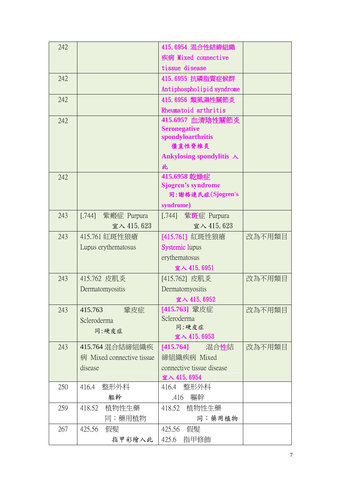| 242 |                           | 415.6954 混合性結締組織                 |        |
|-----|---------------------------|----------------------------------|--------|
|     |                           | 疾病 Mixed connective              |        |
|     |                           | tissue disease                   |        |
| 242 |                           | 415.6955 抗磷脂質症候群                 |        |
|     |                           | Antiphospholipid syndrome        |        |
| 242 |                           | 415.6956 類風濕性關節炎                 |        |
|     |                           | Rheumatoid arthritis             |        |
| 242 |                           | 415.6957 血清陰性關節炎                 |        |
|     |                           | <b>Seronegative</b>              |        |
|     |                           | spondyloarthritis                |        |
|     |                           | 僵直性脊椎炎                           |        |
|     |                           | Ankylosing spondylitis $\lambda$ |        |
|     |                           | 此<br>415.6958 乾燥症                |        |
| 242 |                           | <b>Sjogren's syndrome</b>        |        |
|     |                           | 同:謝格連氏症(Sjogren's                |        |
|     |                           | syndrome)                        |        |
| 243 | 紫瘢症 Purpura<br>[.744]     | [.744] 紫斑症 Purpura               |        |
|     | 宜入 415.623                | 宜入 415.623                       |        |
| 243 | 415.761 紅斑性狼瘡             | [415.761] 紅斑性狼瘡                  | 改為不用類目 |
|     | Lupus erythematosus       | <b>Systemic lupus</b>            |        |
|     |                           | erythematosus                    |        |
|     |                           | 宜入 415.6951                      |        |
| 243 | 415.762 皮肌炎               | [415.762] 皮肌炎                    | 改為不用類目 |
|     | Dermatomyositis           | Dermatomyositis                  |        |
|     |                           | 宜入 415.6952                      |        |
| 243 | 鞏皮症<br>415.763            | [415.763] 鞏皮症                    | 改為不用類目 |
|     | Scleroderma               | Scleroderma                      |        |
|     | 同:硬皮症                     | 同:硬皮症                            |        |
|     |                           | 宜入 415.6953                      |        |
| 243 | 415.764 混合結締組織疾           | [ <b>415.764</b> ]   混合性結        | 改為不用類目 |
|     | 病 Mixed connective tissue | 締組織疾病 Mixed                      |        |
|     | disease                   | connective tissue disease        |        |
| 250 | 整形外科<br>416.4             | 宜入 415.6954<br>416.4 整形外科        |        |
|     | 軀幹                        | 軀幹<br>.416                       |        |
| 259 | 418.52<br>植物性生藥           | 418.52<br>植物性生藥                  |        |
|     | 同:藥用植物                    | 同:藥用植物                           |        |
| 267 | 425.56<br>假髮              | 假髮<br>425.56                     |        |
|     |                           |                                  |        |
|     | 指甲彩繪入此                    | 425.6<br>指甲修飾                    |        |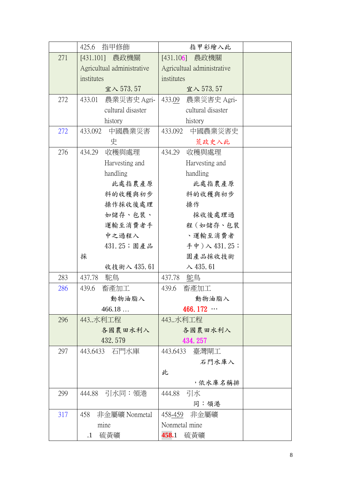|     | 425.6<br>指甲修飾              | 指甲彩繪入此                     |  |
|-----|----------------------------|----------------------------|--|
| 271 | [431.101] 農政機關             | [431.106] 農政機關             |  |
|     | Agricultual administrative | Agricultual administrative |  |
|     | institutes                 | institutes                 |  |
|     | 宜入 573.57                  | 宜入 573.57                  |  |
| 272 | 農業災害史 Agri-<br>433.01      | 農業災害史 Agri-<br>433.09      |  |
|     | cultural disaster          | cultural disaster          |  |
|     | history                    | history                    |  |
| 272 | 中國農業災害<br>433.092          | 中國農業災害史<br>433.092         |  |
|     | 史                          | 荒政史入此                      |  |
| 276 | 434.29<br>收穫與處理            | 434.29<br>收穫與處理            |  |
|     | Harvesting and             | Harvesting and             |  |
|     | handling                   | handling                   |  |
|     | 此處指農產原                     | 此處指農產原                     |  |
|     | 料的收穫與初步                    | 料的收穫與初步                    |  |
|     | 操作採收後處理                    | 操作                         |  |
|     | 如儲存、包裝、                    | 採收後處理過                     |  |
|     | 運輸至消費者手                    | 程 (如儲存、包裝                  |  |
|     | 中之過程入                      | 、運輸至消費者                    |  |
|     | 431.25; 園產品                | 手中)入 $431.25$ ;            |  |
|     | 採                          | 園產品採收技術                    |  |
|     | 收技術入 435.61                | $\lambda$ 435.61           |  |
| 283 | 437.78<br>駝鳥               | 437.78<br>鴕鳥               |  |
| 286 | 畜產加工<br>439.6              | 畜產加工<br>439.6              |  |
|     | 動物油脂入                      | 動物油脂入                      |  |
|     | 466.18                     | 466.172 $\cdots$           |  |
| 296 | 443水利工程                    | 443水利工程                    |  |
|     | 各國農田水利入                    | 各國農田水利入                    |  |
|     | 432.579                    | 434.257                    |  |
| 297 | 443.6433 石門水庫              | 443.6433<br>臺灣閘工           |  |
|     |                            | 石門水庫入                      |  |
|     |                            | 此                          |  |
|     |                            | ,依水庫名稱排                    |  |
| 299 | 444.88<br>・引水同:領港          | 引水<br>444.88               |  |
|     |                            | 同:領港                       |  |
| 317 | 非金屬礦 Nonmetal<br>458       | 458-459 非金屬礦               |  |
|     | mine                       | Nonmetal mine              |  |
|     | 硫黃礦<br>$\cdot$ 1           | 458.1<br>硫黃礦               |  |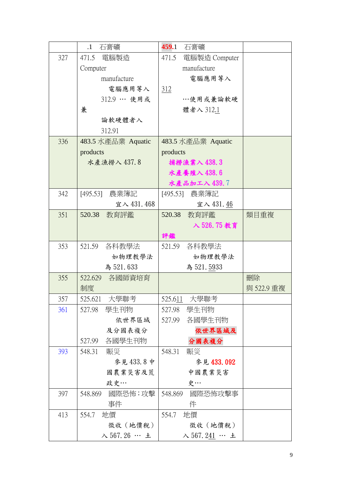|     | $\cdot$ 1<br>石膏礦         | 459.1<br>石膏礦              |            |
|-----|--------------------------|---------------------------|------------|
| 327 | 471.5 電腦製造               | 471.5<br>電腦製造 Computer    |            |
|     | Computer                 | manufacture               |            |
|     | manufacture              | 電腦應用等入                    |            |
|     | 電腦應用等入                   | <u>312</u>                |            |
|     | 312.9 … 使用或              | …使用或兼論軟硬                  |            |
|     | 兼                        | 體者入 312.1                 |            |
|     | 論軟硬體者入                   |                           |            |
|     | 312.91                   |                           |            |
| 336 | 483.5 水產品業 Aquatic       | 483.5 水產品業 Aquatic        |            |
|     | products                 | products                  |            |
|     | 水產漁撈入 437.8              | 捕撈漁業入 438.3               |            |
|     |                          | 水產養殖入 438.6               |            |
|     |                          | 水產品加工入 439.7              |            |
| 342 | 農業簿記<br>[495.53]         | [495.53] 農業簿記             |            |
|     | 宜入 431.468               | 宜入 431.46                 |            |
| 351 | 520.38<br>教育評鑑           | 520.38<br>教育評鑑            | 類目重複       |
|     |                          | 入 526.75 教育               |            |
|     |                          | 評鑑                        |            |
| 353 | 各科教學法<br>521.59          | 各科教學法<br>521.59           |            |
|     | 如物理教學法                   | 如物理教學法                    |            |
|     | 為 521.633                | 為 521.5933                |            |
| 355 | 522.629 各國師資培育           |                           | 刪除         |
|     | 制度                       |                           | 與 522.9 重複 |
| 357 | 大學聯考<br>525.621          | 大學聯考<br>525.611           |            |
| 361 | 學生刊物<br>527.98           | 學生刊物<br>527.98            |            |
|     | 依世界區域                    | 各國學生刊物<br>527.99          |            |
|     | 及分國表複分                   | 依世界區域及                    |            |
|     | 各國學生刊物<br>527.99         | 分國表複分                     |            |
| 393 | 548.31<br>賑災             | 548.31<br>賑災              |            |
|     | 參見433.8中                 | 參見 433.092                |            |
|     | 國農業災害及荒                  | 中國農業災害                    |            |
|     | 政史…                      | 史…                        |            |
| 397 | 國際恐怖;攻擊<br>548.869       | 548.869<br>國際恐怖攻擊事        |            |
|     | 事件                       | 件                         |            |
| 413 | 554.7<br>地價              | 554.7<br>地價               |            |
|     | 徵收 (地價稅)                 | 徵收 (地價稅)                  |            |
|     | $\lambda$ 567.26 … $\pm$ | $\lambda$ 567.241 … $\pm$ |            |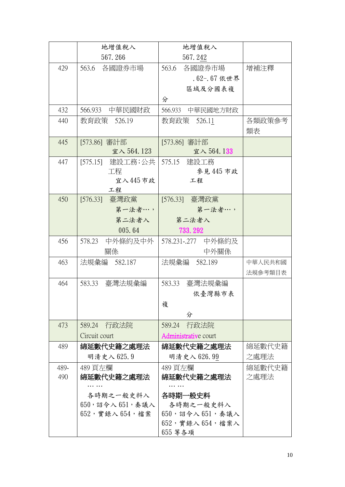|      | 地增值稅入                  | 地增值稅入                   |         |
|------|------------------------|-------------------------|---------|
|      | 567.266                | 567.242                 |         |
| 429  | 563.6 各國證券市場           | 563.6 各國證券市場            | 增補注釋    |
|      |                        | $.62 - .67$ 依世界         |         |
|      |                        | 區域及分國表複                 |         |
|      |                        | 分                       |         |
| 432  | 566.933<br>中華民國財政      | 566.933<br>中華民國地方財政     |         |
| 440  | 教育政策 526.19            | 教育政策 526.11             | 各類政策參考  |
|      |                        |                         | 類表      |
| 445  | [573.86] 審計部           | [573.86] 審計部            |         |
|      | 宜入 564.123             | 宜入 564.133              |         |
| 447  | [575.15] 建設工務;公共       | 575.15 建設工務             |         |
|      | 工程                     | 參見 445 市政               |         |
|      | 宜入445市政                | 工程                      |         |
| 450  | 工程<br>[576.33] 臺灣政黨    | [576.33] 臺灣政黨           |         |
|      | 第一法者…,                 | 第一法者…,                  |         |
|      | 第二法者入                  | 第二法者入                   |         |
|      | 005.64                 | 733.292                 |         |
| 456  | 578.23<br>中外條約及中外      | 578.231-.277 中外條約及      |         |
|      | 關係                     | 中外關係                    |         |
| 463  | 法規彙編 582.187           | 法規彙編 582.189            | 中華人民共和國 |
|      |                        |                         | 法規參考類目表 |
| 464  | 583.33<br>臺灣法規彙編       | 臺灣法規彙編<br>583.33        |         |
|      |                        | 依臺灣縣市表                  |         |
|      |                        | 複                       |         |
|      |                        | 分                       |         |
| 473  | 589.24 行政法院            | 589.24 行政法院             |         |
|      | Circuit court          | Administrative court    |         |
| 489  | 綿延數代史籍之處理法             | 綿延數代史籍之處理法              | 綿延數代史籍  |
|      | 明清史入 625.9             | 明清史入 626.99             | 之處理法    |
| 489- | 489 頁左欄                | 489 頁左欄                 | 綿延數代史籍  |
| 490  | 綿延數代史籍之處理法             | 綿延數代史籍之處理法              | 之處理法    |
|      |                        |                         |         |
|      | 各時期之一般史料入              | 各時期一般史料                 |         |
|      | $650, $ 詔令入 $651,$ 奏議入 | 各時期之一般史料入               |         |
|      | $652,$ 實錄入 $654,$ 檔案   | $650, 324$ $651, 514$   |         |
|      |                        | $652, $ 實錄入 $654, $ 檔案入 |         |
|      |                        | 655 等各項                 |         |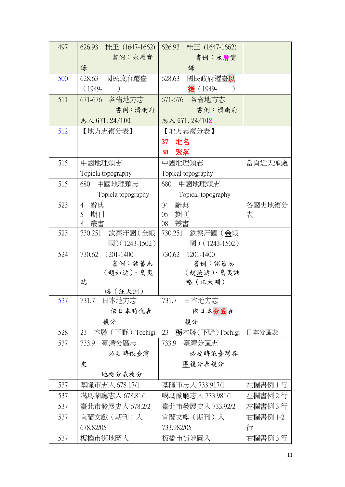| 497 | 626.93 桂王 (1647-1662)                  | 626.93 桂王 (1647-1662)                            |          |
|-----|----------------------------------------|--------------------------------------------------|----------|
|     | 書例:永歷實                                 | 書例:永曆實                                           |          |
|     | 錄                                      | 錄                                                |          |
| 500 | 國民政府遷臺<br>628.63                       | 628.63<br>國民政府遷臺 <b>以</b>                        |          |
|     | $(1949 -$<br>$\big)$                   | 後 (1949-                                         |          |
| 511 | 671-676 各省地方志                          | 671-676 各省地方志                                    |          |
|     | 書例:濟南府                                 | 書例:濟南府                                           |          |
|     | 志入 671.24/100                          | 志入 671.24/102                                    |          |
| 512 | 【地方志複分表】                               | 【地方志複分表】                                         |          |
|     |                                        | 地名<br>37                                         |          |
|     |                                        | 38<br>聚落                                         |          |
| 515 | 中國地理類志                                 | 中國地理類志                                           | 當頁近天頭處   |
|     | Topicla topography                     | Topical topography                               |          |
| 515 | 中國地理類志<br>680                          | 中國地理類志<br>680                                    |          |
|     | Topicla topography                     | Topical topography                               |          |
| 523 | 辭典<br>$\overline{4}$                   | 辭典<br>04                                         | 各國史地複分   |
|     | 5<br>期刊                                | 期刊<br>05                                         | 表        |
|     | 叢書<br>8                                | 08 叢書                                            |          |
| 523 | 欽察汗國(全帳<br>730.251<br>國 $)(1243-1502)$ | 730.251<br>欽察汗國 ( <u>金</u> 帳<br>國) $(1243-1502)$ |          |
| 524 | 730.62<br>1201-1400                    | 730.62<br>1201-1400                              |          |
|     | 書例:諸蕃志                                 | 書例:諸蕃志                                           |          |
|     | (趙如适)、島夷                               | (趙汝适)、島夷誌                                        |          |
|     | 誌                                      | 略(汪大淵)                                           |          |
|     | 略(汪大淵)                                 |                                                  |          |
| 527 | 731.7<br>日本地方志                         | 日本地方志<br>731.7                                   |          |
|     | 依日本時代表                                 | 依日本分區表                                           |          |
|     | 複分                                     | 複分                                               |          |
| 528 | 23<br>木縣 (下野) Tochigi                  | 23<br>栃木縣 (下野) Tochigi                           | 日本分區表    |
| 537 | 臺灣分區志<br>733.9                         | 臺灣分區志<br>733.9                                   |          |
|     | 必要時依臺灣                                 | 必要時依臺灣各                                          |          |
|     | 史                                      | 區複分表複分                                           |          |
|     | 地複分表複分                                 |                                                  |          |
| 537 | 基隆市志入 678.17/1                         | 基隆市志入 733.917/1                                  | 左欄書例 1 行 |
| 537 | 噶瑪蘭廳志入 678.81/1                        | 噶瑪蘭廳志入 733.981/1                                 | 左欄書例2行   |
| 537 | 臺北市發展史入 678.2/2                        | 臺北市發展史入 733.92/2                                 | 左欄書例3行   |
| 537 | 宜蘭文獻(期刊)人                              | 宜蘭文獻(期刊)入                                        | 右欄書例 1-2 |
|     | 678.82/05                              | 733.982/05                                       | 行        |
| 537 | 板橋市街地圖入                                | 板橋市街地圖入                                          | 右欄書例3行   |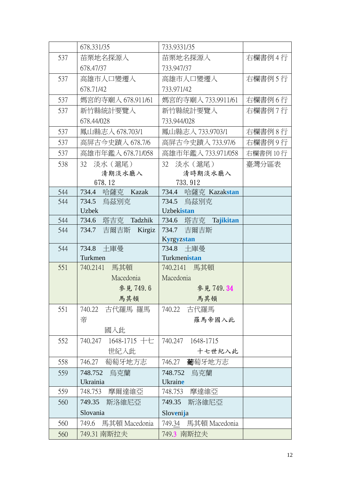|            | 678.331/35                                   | 733.9331/35                       |           |
|------------|----------------------------------------------|-----------------------------------|-----------|
| 537        | 苗栗地名探源人                                      | 苗栗地名探源人                           | 右欄書例4行    |
|            | 678.47/37                                    | 733.947/37                        |           |
| 537        | 高雄市人口變遷入                                     | 高雄市人口變遷入                          | 右欄書例 5 行  |
|            | 678.71/42                                    | 733.971/42                        |           |
| 537        | 媽宮的寺廟入 678.911/61                            | 媽宮的寺廟入 733.9911/61                | 右欄書例6行    |
| 537        | 新竹縣統計要覽入                                     | 新竹縣統計要覽入                          | 右欄書例7行    |
|            | 678.44/028                                   | 733.944/028                       |           |
| 537        | 鳳山縣志入 678.703/1                              | 鳳山縣志入 733.9703/1                  | 右欄書例8行    |
| 537        | 高屏古今史蹟入 678.7/6                              | 高屏古今史蹟入 733.97/6                  | 右欄書例9行    |
| 537        | 高雄市年鑑入 678.71/058                            | 高雄市年鑑入 733.971/058                | 右欄書例 10 行 |
| 538        | 32<br>淡水 (滬尾)                                | 32<br>淡水 (滬尾)                     | 臺灣分區表     |
|            | 清期淡水廳入                                       | 清時期淡水廳入                           |           |
|            | 678.12                                       | 733.912                           |           |
| 544        | 734.4 哈薩克 Kazak                              | 734.4 哈薩克 Kazakstan               |           |
| 544        | 734.5<br>烏茲別克                                | 734.5<br>鳥茲別克                     |           |
|            | <b>Uzbek</b>                                 | Uzbekistan                        |           |
| 544<br>544 | 734.6<br>塔吉克 Tadzhik<br>734.7<br>吉爾吉斯 Kirgiz | 734.6 塔吉克 Tajikitan<br>734.7 吉爾吉斯 |           |
|            |                                              | <b>Kyrgyzstan</b>                 |           |
| 544        | 734.8 土庫曼                                    | 734.8 土庫曼                         |           |
|            | Turkmen                                      | Turkmenistan                      |           |
| 551        | 740.2141 馬其頓                                 | 740.2141 馬其頓                      |           |
|            | Macedonia                                    | Macedonia                         |           |
|            | 參見749.6                                      | 參見 749.34                         |           |
|            | 馬其頓                                          | 馬其頓                               |           |
| 551        | 740.22 古代羅馬 羅馬                               | 740.22 古代羅馬                       |           |
|            | 帝                                            | 羅馬帝國入此                            |           |
|            | 國人此                                          |                                   |           |
| 552        | 1648-1715 十七<br>740.247                      | 740.247<br>1648-1715              |           |
|            | 世紀入此                                         | 十七世紀入此                            |           |
| 558        | 萄萄牙地方志<br>746.27                             | 葡萄牙地方志<br>746.27                  |           |
| 559        | 748.752<br>烏克蘭                               | 748.752<br>烏克蘭                    |           |
|            | Ukrainia                                     | Ukraine                           |           |
| 559        | 748.753<br>摩爾達維亞                             | 748.753<br>摩達維亞                   |           |
| 560        | 749.35<br>斯洛維尼亞                              | 749.35<br>斯洛維尼亞                   |           |
|            | Slovania                                     | Slovenija                         |           |
| 560        | 馬其頓 Macedonia<br>749.6                       | 馬其頓 Macedonia<br>749.34           |           |
| 560        | 749.31 南斯拉夫                                  | 749.3 南斯拉夫                        |           |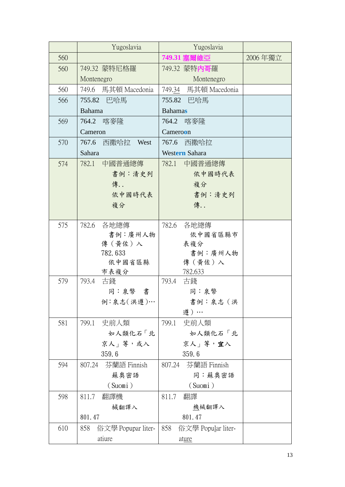|     | Yugoslavia                | Yugoslavia                |         |
|-----|---------------------------|---------------------------|---------|
| 560 |                           | 749.31 寒爾維亞               | 2006年獨立 |
| 560 | 749.32 蒙特尼格羅              | 749.32 蒙特內哥羅              |         |
|     | Montenegro                | Montenegro                |         |
| 560 | 749.6 馬其頓 Macedonia       | 749.34 馬其頓 Macedonia      |         |
| 566 | 755.82 巴哈馬                | 755.82 巴哈馬                |         |
|     | Bahama                    | <b>Bahamas</b>            |         |
| 569 | 764.2 喀麥隆                 | 764.2 喀麥隆                 |         |
|     | Cameron                   | Cameroon                  |         |
| 570 | 西撒哈拉 West<br>767.6        | 西撒哈拉<br>767.6             |         |
|     | Sahara                    | Western Sahara            |         |
| 574 | 中國普通總傳<br>782.1           | 中國普通總傳<br>782.1           |         |
|     | 書例:清史列                    | 依中國時代表                    |         |
|     | 傳                         | 複分                        |         |
|     | 依中國時代表                    | 書例:清史列                    |         |
|     | 複分                        | 傳                         |         |
|     |                           |                           |         |
| 575 | 782.6 各地總傳                | 各地總傳<br>782.6             |         |
|     | 書例:廣州人物                   | 依中國省區縣市                   |         |
|     | 傳(黃佐)入<br>782.633         | 表複分<br>書例:廣州人物            |         |
|     | 依中國省區縣                    | 傳 (黃佐) 入                  |         |
|     | 市表複分                      | 782.633                   |         |
| 579 | 793.4<br>古錢               | 793.4<br>古錢               |         |
|     | 同:泉幣 書                    | 同:泉幣                      |         |
|     | 例:泉志(洪遵)…                 | 書例:泉志(洪                   |         |
|     |                           | 遵)…                       |         |
| 581 | 史前人類<br>799.1             | 799.1<br>史前人類             |         |
|     | 如人類化石「北                   | 如人類化石「北                   |         |
|     | 京人   等,或入                 | 京人   等, 宜入                |         |
|     | 359.6                     | 359.6                     |         |
| 594 | 芬蘭語 Finnish<br>807.24     | 芬蘭語 Finnish<br>807.24     |         |
|     | 蘇奧密語                      | 同:蘇奧密語                    |         |
|     | (Suomi)                   | (Suomi)                   |         |
| 598 | 811.7<br>翻譯機              | 811.7<br>翻譯               |         |
|     | 械翻譯入                      | 機械翻譯入                     |         |
|     | 801.47                    | 801.47                    |         |
| 610 | 858<br>俗文學 Popupar liter- | 858<br>俗文學 Popular liter- |         |
|     | atiure                    | ature                     |         |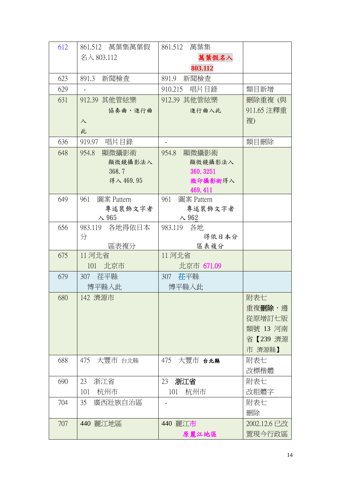| 612 | 861.512 萬葉集萬葉假           | 861.512<br>萬葉集           |              |
|-----|--------------------------|--------------------------|--------------|
|     | 名入 803.112               | 萬葉假名入                    |              |
|     |                          | 803.112                  |              |
| 623 | 新聞檢查<br>891.3            | 891.9<br>新聞檢查            |              |
| 629 |                          | 唱片目錄<br>910.215          | 類目新增         |
| 631 | 912.39 其他管絃樂             | 912.39 其他管絃樂             | 刪除重複 (與      |
|     | 協奏曲、進行曲                  | 進行曲入此                    | 911.65 注釋重   |
|     | $\lambda$                |                          | 複)           |
|     | 此                        |                          |              |
| 636 | 919.97<br>唱片目錄           |                          | 類目刪除         |
| 648 | 顯微攝影術<br>954.8           | 顯微攝影術<br>954.8           |              |
|     | 顯微鏡攝影法入                  | 顯微鏡攝影法入                  |              |
|     | 368.7                    | 360.3251                 |              |
|     | 得入 469.95                | 微印攝影術得入                  |              |
|     |                          | 469.411                  |              |
| 649 | 961<br>圖案 Pattern        | 圖案 Pattern<br>961        |              |
|     | 專述裝飾文字者<br>$\lambda$ 965 | 專述裝飾文字者<br>$\lambda$ 962 |              |
| 656 | 983.119 各地得依日本           | 983.119 各地               |              |
|     | 分                        | 得依日本分                    |              |
|     | 區表複分                     | 區表複分                     |              |
| 675 | 11 河北省                   | 11 河北省                   |              |
|     | 北京市<br>101               | 北京市 671.09               |              |
| 679 | 荏平縣<br>307               | 茌平縣<br>307               |              |
|     | 博平縣入此                    | 博平縣入此                    |              |
| 680 | 142 濟源市                  |                          | 附表七          |
|     |                          |                          | 重複刪除,遵       |
|     |                          |                          | 從原增訂七版       |
|     |                          |                          | 類號 13 河南     |
|     |                          |                          | 省【239 濟源     |
|     |                          |                          | 市 濟源縣】       |
| 688 | 475<br>大豐市 台北縣           | 475<br>大豐市 台北縣           | 附表七          |
|     |                          |                          | 改標楷體         |
| 690 | 浙江省<br>23                | 浙江省<br>23                | 附表七          |
|     | 杭州市<br>101               | 杭州市<br>101               | 改粗體字         |
| 704 | 35<br>廣西壯族自治區            |                          | 附表七          |
|     |                          |                          | 刪除           |
| 707 | 440 麗江地區                 | 440 麗江市                  | 2002.12.6 已改 |
|     |                          | 原麗江地區                    | 置現今行政區       |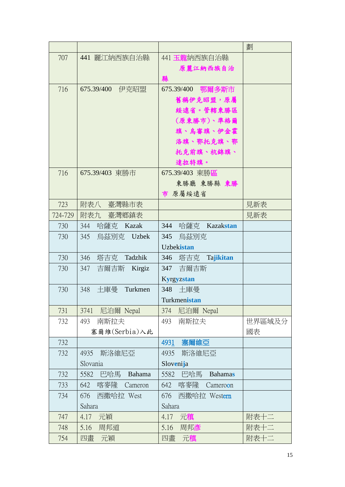|         |                       |                                | 劃      |
|---------|-----------------------|--------------------------------|--------|
| 707     | 441 麗江納西族自治縣          | 441 玉龍納西族自治縣                   |        |
|         |                       | 原麗江納西族自治                       |        |
|         |                       | 縣                              |        |
| 716     | 675.39/400<br>伊克昭盟    | 675.39/400 鄂爾多斯市               |        |
|         |                       | 舊稱伊克昭盟,原屬                      |        |
|         |                       | 綏遠省。管轄東勝區                      |        |
|         |                       | (原東勝市)、準格爾                     |        |
|         |                       | 旗、烏審旗、伊金霍                      |        |
|         |                       | 洛旗、鄂托克旗、鄂                      |        |
|         |                       | 托克前旗、杭錦旗、                      |        |
|         |                       | 達拉特旗。                          |        |
| 716     | 675.39/403 東勝市        | 675.39/403 東勝區                 |        |
|         |                       | 東勝廳 東勝縣 東勝                     |        |
|         |                       | 市 原屬綏遠省                        |        |
| 723     | 附表八 臺灣縣市表             |                                | 見新表    |
| 724-729 | 附表九 臺灣鄉鎮表             |                                | 見新表    |
| 730     | 344<br>哈薩克 Kazak      | 344<br>哈薩克<br>Kazakstan        |        |
| 730     | 345<br>烏茲別克 Uzbek     | 345<br>烏茲別克                    |        |
|         |                       | Uzbekistan                     |        |
| 730     | 塔吉克<br>346<br>Tadzhik | 346<br>塔吉克<br><b>Tajikitan</b> |        |
| 730     | 347<br>吉爾吉斯 Kirgiz    | 347 吉爾吉斯                       |        |
|         |                       | <b>Kyrgyzstan</b>              |        |
| 730     | 348<br>十庫曼<br>Turkmen | 348<br>土庫曼                     |        |
|         |                       | Turkmenistan                   |        |
| 731     | 尼泊爾 Nepal<br>3741     | 尼泊爾 Nepal<br>374               |        |
| 732     | 南斯拉夫<br>493           | 南斯拉夫<br>493                    | 世界區域及分 |
|         | 塞爾維(Serbia)入此         |                                | 國表     |
| 732     |                       | 4931<br>塞爾維亞                   |        |
| 732     | 4935<br>斯洛維尼亞         | 4935<br>斯洛維尼亞                  |        |
|         | Slovania              | Slovenija                      |        |
| 732     | 巴哈馬<br>5582<br>Bahama | 5582<br>巴哈馬<br><b>Bahamas</b>  |        |
| 733     | 642<br>喀麥隆<br>Cameron | 642<br>喀麥隆<br>Cameroon         |        |
| 734     | 西撒哈拉 West<br>676      | 676<br>西撒哈拉 Western            |        |
|         | Sahara                | Sahara                         |        |
| 747     | 元穎<br>4.17            | 元稹<br>4.17                     | 附表十二   |
| 748     | 周邦道<br>5.16           | 周邦彥<br>5.16                    | 附表十二   |
| 754     | 四畫<br>元穎              | 四畫<br>元稹                       | 附表十二   |